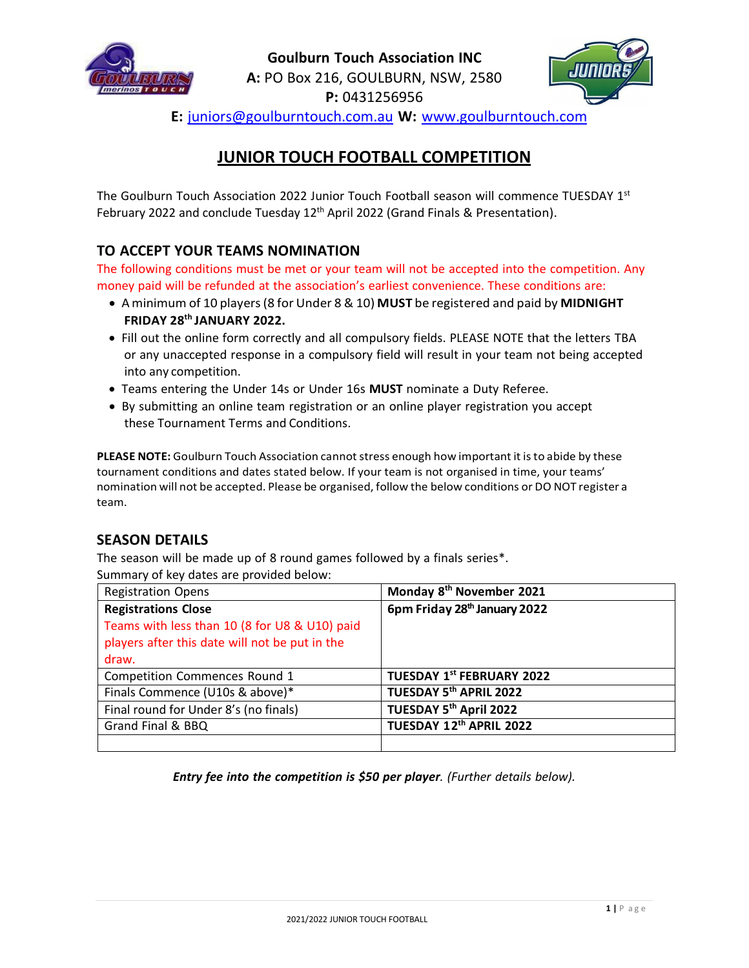



**E:** [juniors@goulburntouch.com.au](mailto:juniors@goulburntouch.com.au) **W:** [www.goulburntouch.com](http://www.goulburntouch.com/)

# **JUNIOR TOUCH FOOTBALL COMPETITION**

The Goulburn Touch Association 2022 Junior Touch Football season will commence TUESDAY 1<sup>st</sup> February 2022 and conclude Tuesday  $12<sup>th</sup>$  April 2022 (Grand Finals & Presentation).

# **TO ACCEPT YOUR TEAMS NOMINATION**

The following conditions must be met or your team will not be accepted into the competition. Any money paid will be refunded at the association's earliest convenience. These conditions are:

- Aminimum of 10 players(8 for Under 8 & 10) **MUST** be registered and paid by **MIDNIGHT FRIDAY 28th JANUARY 2022.**
- Fill out the online form correctly and all compulsory fields. PLEASE NOTE that the letters TBA or any unaccepted response in a compulsory field will result in your team not being accepted into any competition.
- Teams entering the Under 14s or Under 16s **MUST** nominate a Duty Referee.
- By submitting an online team registration or an online player registration you accept these Tournament Terms and Conditions.

PLEASE NOTE: Goulburn Touch Association cannot stress enough how important it is to abide by these tournament conditions and dates stated below. If your team is not organised in time, your teams' nomination will not be accepted. Please be organised, follow the below conditions or DO NOT register a team.

# **SEASON DETAILS**

The season will be made up of 8 round games followed by a finals series\*. Summary of key dates are provided below:

| <b>Registration Opens</b>                      | Monday 8 <sup>th</sup> November 2021     |
|------------------------------------------------|------------------------------------------|
| <b>Registrations Close</b>                     | 6pm Friday 28 <sup>th</sup> January 2022 |
| Teams with less than 10 (8 for U8 & U10) paid  |                                          |
| players after this date will not be put in the |                                          |
| draw.                                          |                                          |
| Competition Commences Round 1                  | <b>TUESDAY 1st FEBRUARY 2022</b>         |
| Finals Commence (U10s & above)*                | TUESDAY 5th APRIL 2022                   |
| Final round for Under 8's (no finals)          | TUESDAY 5th April 2022                   |
| Grand Final & BBQ                              | TUESDAY 12th APRIL 2022                  |
|                                                |                                          |

*Entry fee into the competition is \$50 per player. (Further details below).*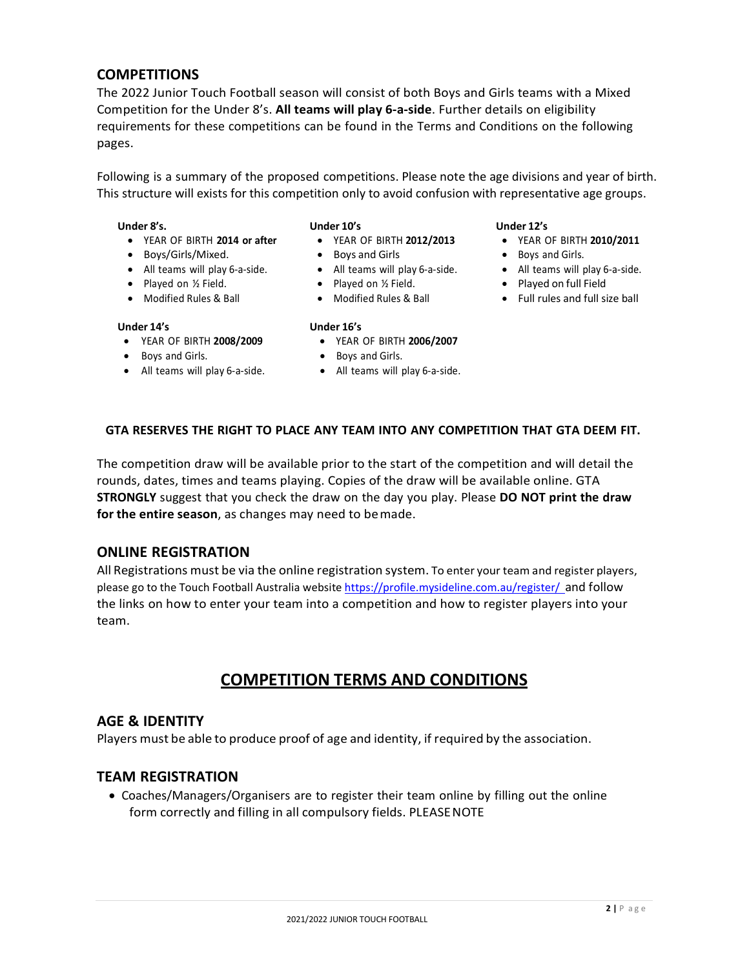### **COMPETITIONS**

The 2022 Junior Touch Football season will consist of both Boys and Girls teams with a Mixed Competition for the Under 8's. **All teams will play 6‐a‐side**. Further details on eligibility requirements for these competitions can be found in the Terms and Conditions on the following pages.

Following is a summary of the proposed competitions. Please note the age divisions and year of birth. This structure will exists for this competition only to avoid confusion with representative age groups.

#### **Under 8's.**

- YEAR OF BIRTH **2014 or after**
- Boys/Girls/Mixed.
- All teams will play 6‐a‐side.
- Played on 1/2 Field.
- Modified Rules & Ball

#### **Under 14's**

- YEAR OF BIRTH **2008/2009**
- Boys and Girls.
- All teams will play 6-a-side.

#### **Under 10's**

- 
- YEAR OF BIRTH **2012/2013**
- Boys and Girls
- All teams will play 6‐a‐side.
- Played on 1/2 Field.
- Modified Rules & Ball

#### **Under 16's**

#### • YEAR OF BIRTH **2006/2007**

- Boys and Girls.
- All teams will play 6-a-side.

#### **Under 12's**

- YEAR OF BIRTH **2010/2011**
- Boys and Girls.
- All teams will play 6-a-side.
	- Played on full Field
	- Full rules and full size ball

### **GTA RESERVES THE RIGHT TO PLACE ANY TEAM INTO ANY COMPETITION THAT GTA DEEM FIT.**

The competition draw will be available prior to the start of the competition and will detail the rounds, dates, times and teams playing. Copies of the draw will be available online. GTA **STRONGLY** suggest that you check the draw on the day you play. Please **DO NOT print the draw for the entire season**, as changes may need to bemade.

#### **ONLINE REGISTRATION**

All Registrations must be via the online registration system. To enter your team and register players, please go to the Touch Football Australia website https://profile.mysideline.com.au/register/ and follow the links on how to enter your team into a competition and how to register players into your team.

# **COMPETITION TERMS AND CONDITIONS**

#### **AGE & IDENTITY**

Players must be able to produce proof of age and identity, if required by the association.

### **TEAM REGISTRATION**

• Coaches/Managers/Organisers are to register their team online by filling out the online form correctly and filling in all compulsory fields. PLEASENOTE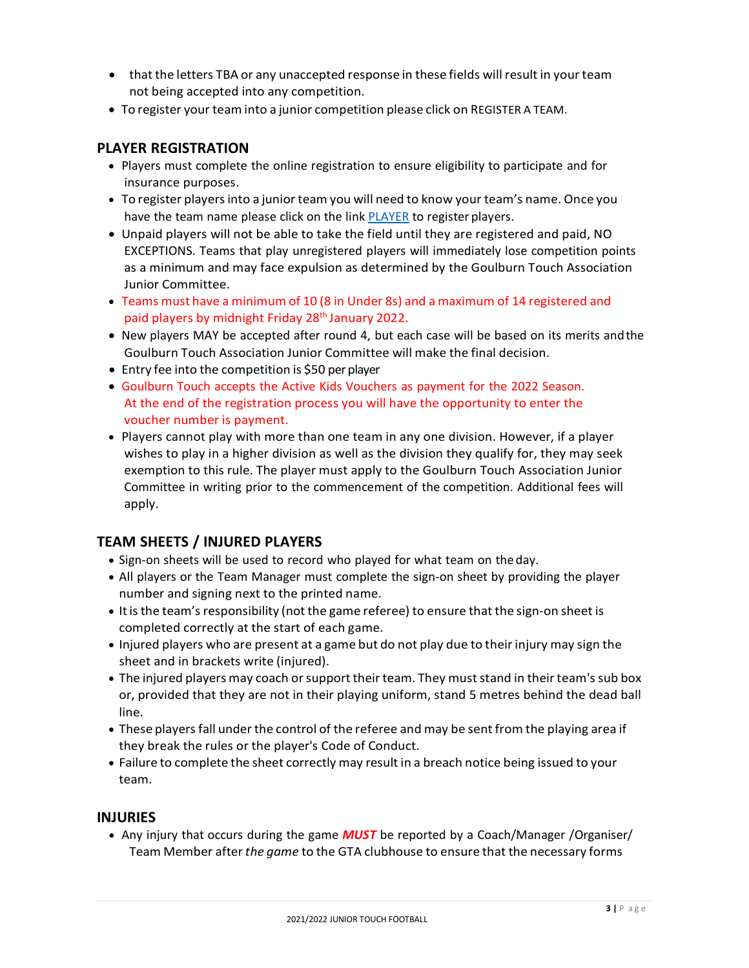- that the letters TBA or any unaccepted response in these fields will result in your team not being accepted into any competition.
- To register your team into a junior competition please click on REGISTER A TEAM.

# **PLAYER REGISTRATION**

- Players must complete the online registration to ensure eligibility to participate and for insurance purposes.
- To register playersinto a junior team you will need to know your team's name. Once you have the team name please click on the link PLAYER to register players.
- Unpaid players will not be able to take the field until they are registered and paid, NO EXCEPTIONS. Teams that play unregistered players will immediately lose competition points as a minimum and may face expulsion as determined by the Goulburn Touch Association Junior Committee.
- Teams must have a minimum of 10 (8 in Under 8s) and a maximum of 14 registered and paid players by midnight Friday 28<sup>th</sup> January 2022.
- New players MAY be accepted after round 4, but each case will be based on its merits andthe Goulburn Touch Association Junior Committee will make the final decision.
- Entry fee into the competition is \$50 per player
- Goulburn Touch accepts the Active Kids Vouchers as payment for the 2022 Season. At the end of the registration process you will have the opportunity to enter the voucher number is payment.
- Players cannot play with more than one team in any one division. However, if a player wishes to play in a higher division as well as the division they qualify for, they may seek exemption to this rule. The player must apply to the Goulburn Touch Association Junior Committee in writing prior to the commencement of the competition. Additional fees will apply.

# **TEAM SHEETS / INJURED PLAYERS**

- Sign-on sheets will be used to record who played for what team on the day.
- All players or the Team Manager must complete the sign-on sheet by providing the player number and signing next to the printed name.
- It is the team's responsibility (not the game referee) to ensure that the sign-on sheet is completed correctly at the start of each game.
- Injured players who are present at a game but do not play due to their injury may sign the sheet and in brackets write (injured).
- The injured players may coach or support their team. They must stand in their team's sub box or, provided that they are not in their playing uniform, stand 5 metres behind the dead ball line.
- These players fall under the control of the referee and may be sent from the playing area if they break the rules or the player's Code of Conduct.
- Failure to complete the sheet correctly may result in a breach notice being issued to your team.

#### **INJURIES**

• Any injury that occurs during the game *MUST* be reported by a Coach/Manager /Organiser/ Team Member after *the game* to the GTA clubhouse to ensure that the necessary forms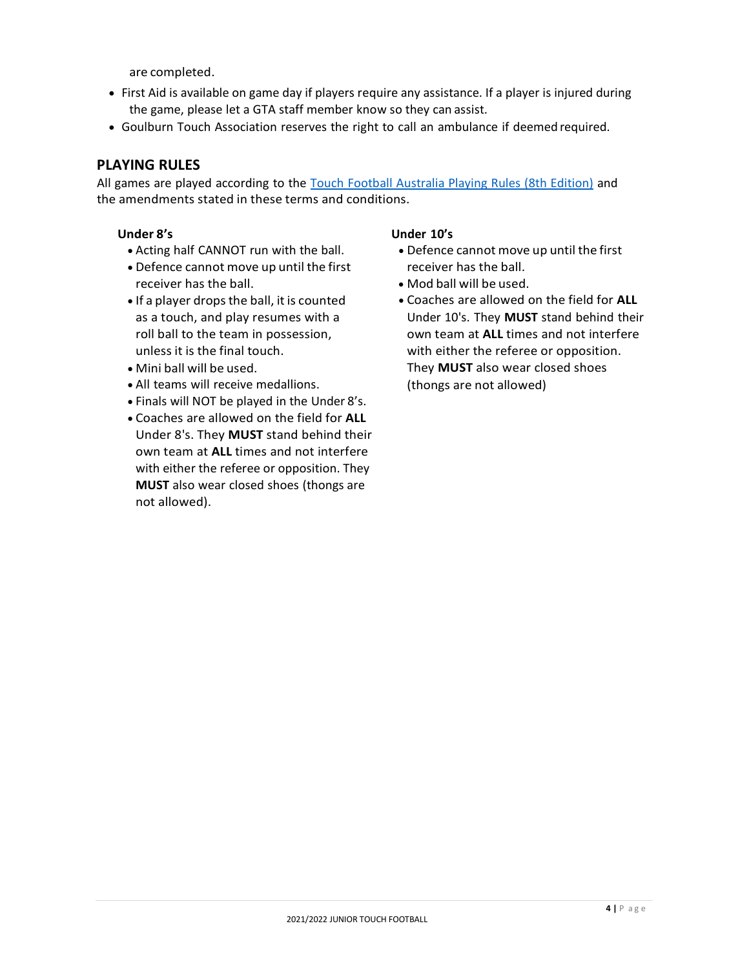are completed.

- First Aid is available on game day if players require any assistance. If a player is injured during the game, please let a GTA staff member know so they can assist.
- Goulburn Touch Association reserves the right to call an ambulance if deemed required.

# **PLAYING RULES**

All games are played according to the Touch Football Australia Playing Rules (8th Edition) and the amendments stated in these terms and conditions.

#### **Under 8's**

- Acting half CANNOT run with the ball.
- Defence cannot move up until the first receiver has the ball.
- If a player drops the ball, it is counted as a touch, and play resumes with a roll ball to the team in possession, unless it is the final touch.
- Mini ball will be used.
- All teams will receive medallions.
- Finals will NOT be played in the Under 8's.
- Coaches are allowed on the field for **ALL** Under 8's. They **MUST** stand behind their own team at **ALL** times and not interfere with either the referee or opposition. They **MUST** also wear closed shoes (thongs are not allowed).

#### **Under 10's**

- Defence cannot move up until the first receiver has the ball.
- Mod ball will be used.
- Coaches are allowed on the field for **ALL** Under 10's. They **MUST** stand behind their own team at **ALL** times and not interfere with either the referee or opposition. They **MUST** also wear closed shoes (thongs are not allowed)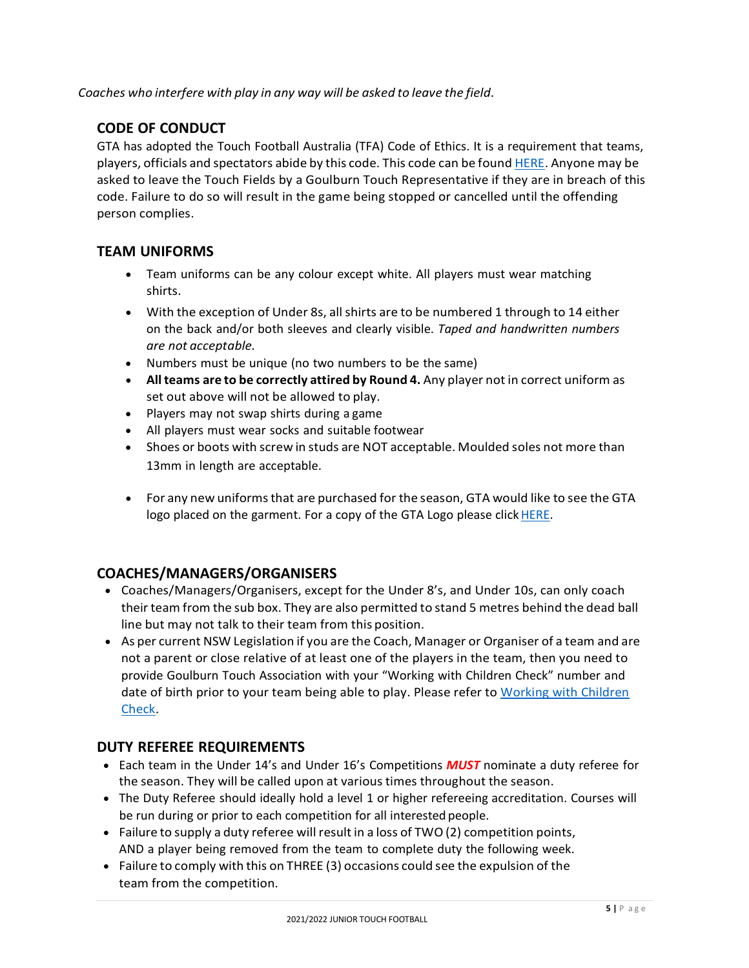*Coaches who interfere with play in any way will be asked to leave the field*.

# **CODE OF CONDUCT**

GTA has adopted the Touch Football Australia (TFA) Code of Ethics. It is a requirement that teams, players, officials and spectators abide by this code. This code can be found HERE. Anyone may be asked to leave the Touch Fields by a Goulburn Touch Representative if they are in breach of this code. Failure to do so will result in the game being stopped or cancelled until the offending person complies.

# **TEAM UNIFORMS**

- Team uniforms can be any colour except white. All players must wear matching shirts.
- With the exception of Under 8s, all shirts are to be numbered 1 through to 14 either on the back and/or both sleeves and clearly visible. *Taped and handwritten numbers are not acceptable.*
- Numbers must be unique (no two numbers to be the same)
- **All teams are to be correctly attired by Round 4.** Any player not in correct uniform as set out above will not be allowed to play.
- Players may not swap shirts during a game
- All players must wear socks and suitable footwear
- Shoes or boots with screw in studs are NOT acceptable. Moulded soles not more than 13mm in length are acceptable.
- For any new uniforms that are purchased for the season, GTA would like to see the GTA logo placed on the garment. For a copy of the GTA Logo please click HERE.

### **COACHES/MANAGERS/ORGANISERS**

- Coaches/Managers/Organisers, except for the Under 8's, and Under 10s, can only coach their team from the sub box. They are also permitted to stand 5 metres behind the dead ball line but may not talk to their team from this position.
- As per current NSW Legislation if you are the Coach, Manager or Organiser of a team and are not a parent or close relative of at least one of the players in the team, then you need to provide Goulburn Touch Association with your "Working with Children Check" number and date of birth prior to your team being able to play. Please refer to Working with Children Check.

### **DUTY REFEREE REQUIREMENTS**

- Each team in the Under 14's and Under 16's Competitions *MUST* nominate a duty referee for the season. They will be called upon at various times throughout the season.
- The Duty Referee should ideally hold a level 1 or higher refereeing accreditation. Courses will be run during or prior to each competition for all interested people.
- Failure to supply a duty referee will result in a loss of TWO(2) competition points, AND a player being removed from the team to complete duty the following week.
- Failure to comply with this on THREE (3) occasions could see the expulsion of the team from the competition.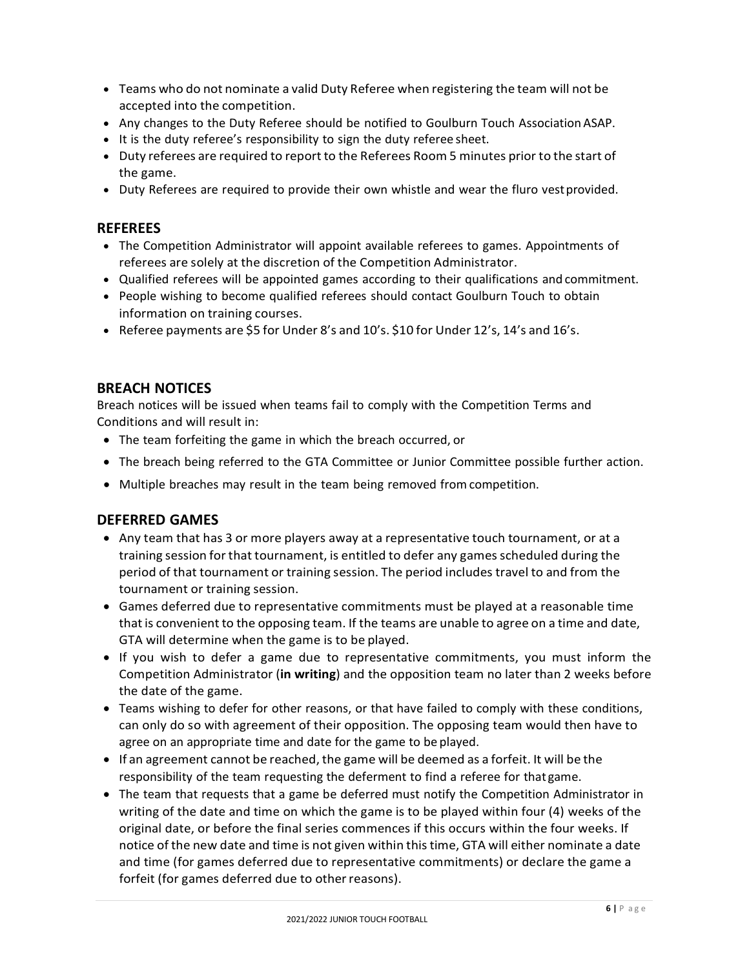- Teams who do not nominate a valid Duty Referee when registering the team will not be accepted into the competition.
- Any changes to the Duty Referee should be notified to Goulburn Touch Association ASAP.
- It is the duty referee's responsibility to sign the duty referee sheet.
- Duty referees are required to report to the Referees Room 5 minutes prior to the start of the game.
- Duty Referees are required to provide their own whistle and wear the fluro vestprovided.

# **REFEREES**

- The Competition Administrator will appoint available referees to games. Appointments of referees are solely at the discretion of the Competition Administrator.
- Qualified referees will be appointed games according to their qualifications and commitment.
- People wishing to become qualified referees should contact Goulburn Touch to obtain information on training courses.
- Referee payments are \$5 for Under 8's and 10's. \$10 for Under 12's, 14's and 16's.

# **BREACH NOTICES**

Breach notices will be issued when teams fail to comply with the Competition Terms and Conditions and will result in:

- The team forfeiting the game in which the breach occurred, or
- The breach being referred to the GTA Committee or Junior Committee possible further action.
- Multiple breaches may result in the team being removed from competition.

# **DEFERRED GAMES**

- Any team that has 3 or more players away at a representative touch tournament, or at a training session for that tournament, is entitled to defer any gamesscheduled during the period of that tournament or training session. The period includes travel to and from the tournament or training session.
- Games deferred due to representative commitments must be played at a reasonable time that is convenient to the opposing team. If the teams are unable to agree on a time and date, GTA will determine when the game is to be played.
- If you wish to defer a game due to representative commitments, you must inform the Competition Administrator (**in writing**) and the opposition team no later than 2 weeks before the date of the game.
- Teams wishing to defer for other reasons, or that have failed to comply with these conditions, can only do so with agreement of their opposition. The opposing team would then have to agree on an appropriate time and date for the game to be played.
- If an agreement cannot be reached, the game will be deemed as a forfeit. It will be the responsibility of the team requesting the deferment to find a referee for that game.
- The team that requests that a game be deferred must notify the Competition Administrator in writing of the date and time on which the game is to be played within four (4) weeks of the original date, or before the final series commences if this occurs within the four weeks. If notice of the new date and time is not given within this time, GTA will either nominate a date and time (for games deferred due to representative commitments) or declare the game a forfeit (for games deferred due to other reasons).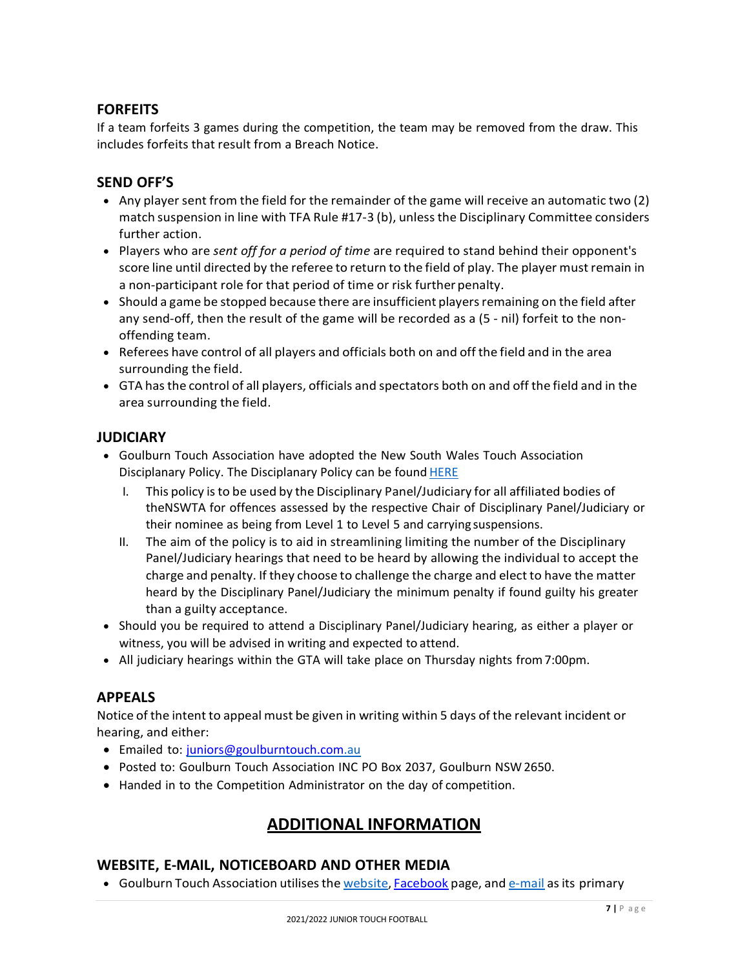# **FORFEITS**

If a team forfeits 3 games during the competition, the team may be removed from the draw. This includes forfeits that result from a Breach Notice.

# **SEND OFF'S**

- Any player sent from the field for the remainder of the game will receive an automatic two (2) match suspension in line with TFA Rule #17-3 (b), unless the Disciplinary Committee considers further action.
- Players who are *sent off for a period of time* are required to stand behind their opponent's score line until directed by the referee to return to the field of play. The player must remain in a non‐participant role for that period of time or risk further penalty.
- Should a game be stopped because there are insufficient players remaining on the field after any send-off, then the result of the game will be recorded as a (5 - nil) forfeit to the nonoffending team.
- Referees have control of all players and officials both on and off the field and in the area surrounding the field.
- GTA hasthe control of all players, officials and spectators both on and off the field and in the area surrounding the field.

# **JUDICIARY**

- Goulburn Touch Association have adopted the New South Wales Touch Association Disciplanary Policy. The Disciplanary Policy can be found **HERE** 
	- I. This policy isto be used by the Disciplinary Panel/Judiciary for all affiliated bodies of theNSWTA for offences assessed by the respective Chair of Disciplinary Panel/Judiciary or their nominee as being from Level 1 to Level 5 and carrying suspensions.
	- II. The aim of the policy is to aid in streamlining limiting the number of the Disciplinary Panel/Judiciary hearings that need to be heard by allowing the individual to accept the charge and penalty. If they choose to challenge the charge and elect to have the matter heard by the Disciplinary Panel/Judiciary the minimum penalty if found guilty his greater than a guilty acceptance.
- Should you be required to attend a Disciplinary Panel/Judiciary hearing, as either a player or witness, you will be advised in writing and expected to attend.
- All judiciary hearings within the GTA will take place on Thursday nights from7:00pm.

# **APPEALS**

Notice of the intent to appeal must be given in writing within 5 days of the relevant incident or hearing, and either:

- Emailed to: [juniors@goulburntouch.com.au](mailto:juniors@goulburntouch.com.au)
- Posted to: Goulburn Touch Association INC PO Box 2037, Goulburn NSW2650.
- Handed in to the Competition Administrator on the day of competition.

# **ADDITIONAL INFORMATION**

#### **WEBSITE, E‐MAIL, NOTICEBOARD AND OTHER MEDIA**

• Goulburn Touch Association utilises the website, Facebook page, and e-mail as its primary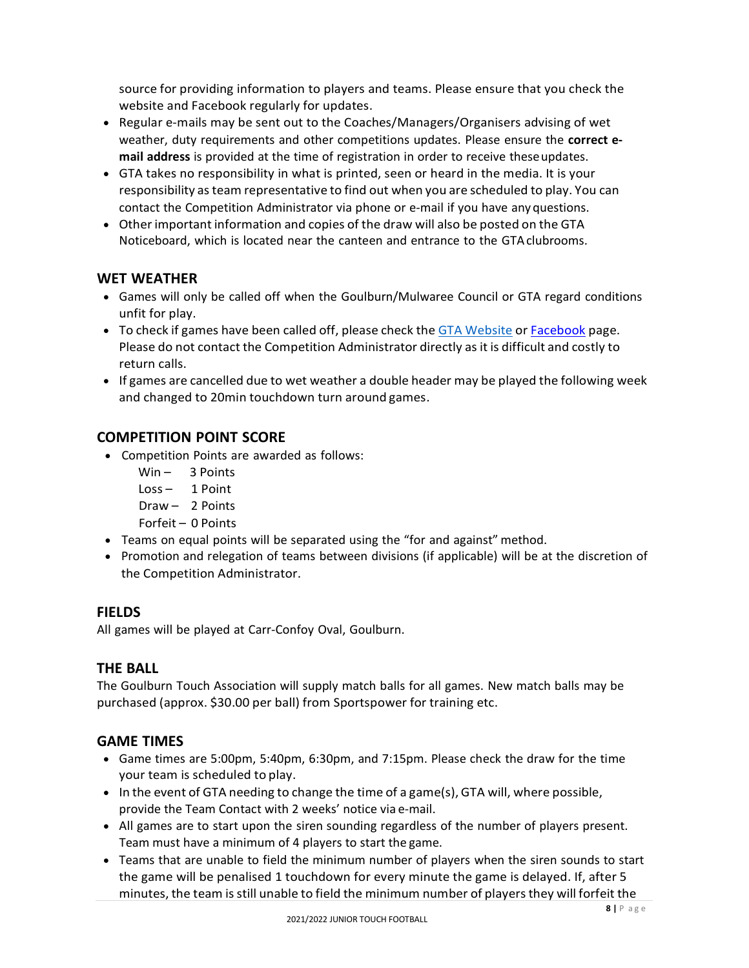source for providing information to players and teams. Please ensure that you check the website and Facebook regularly for updates.

- Regular e‐mails may be sent out to the Coaches/Managers/Organisers advising of wet weather, duty requirements and other competitions updates. Please ensure the **correct e‐ mail address** is provided at the time of registration in order to receive theseupdates.
- GTA takes no responsibility in what is printed, seen or heard in the media. It is your responsibility asteam representative to find out when you are scheduled to play. You can contact the Competition Administrator via phone or e‐mail if you have anyquestions.
- Other important information and copies of the draw will also be posted on the GTA Noticeboard, which is located near the canteen and entrance to the GTAclubrooms.

# **WET WEATHER**

- Games will only be called off when the Goulburn/Mulwaree Council or GTA regard conditions unfit for play.
- To check if games have been called off, please check the GTA Website or Facebook page. Please do not contact the Competition Administrator directly as it is difficult and costly to return calls.
- If games are cancelled due to wet weather a double header may be played the following week and changed to 20min touchdown turn around games.

# **COMPETITION POINT SCORE**

- Competition Points are awarded as follows:
	- Win 3 Points
	- Loss 1 Point
	- Draw 2 Points
	- Forfeit 0 Points
- Teams on equal points will be separated using the "for and against" method.
- Promotion and relegation of teams between divisions (if applicable) will be at the discretion of the Competition Administrator.

# **FIELDS**

All games will be played at Carr‐Confoy Oval, Goulburn.

### **THE BALL**

The Goulburn Touch Association will supply match balls for all games. New match balls may be purchased (approx. \$30.00 per ball) from Sportspower for training etc.

### **GAME TIMES**

- Game times are 5:00pm, 5:40pm, 6:30pm, and 7:15pm. Please check the draw for the time your team is scheduled to play.
- In the event of GTA needing to change the time of a game(s), GTA will, where possible, provide the Team Contact with 2 weeks' notice via e‐mail.
- All games are to start upon the siren sounding regardless of the number of players present. Team must have a minimum of 4 players to start the game.
- Teams that are unable to field the minimum number of players when the siren sounds to start the game will be penalised 1 touchdown for every minute the game is delayed. If, after 5 minutes, the team is still unable to field the minimum number of players they will forfeit the